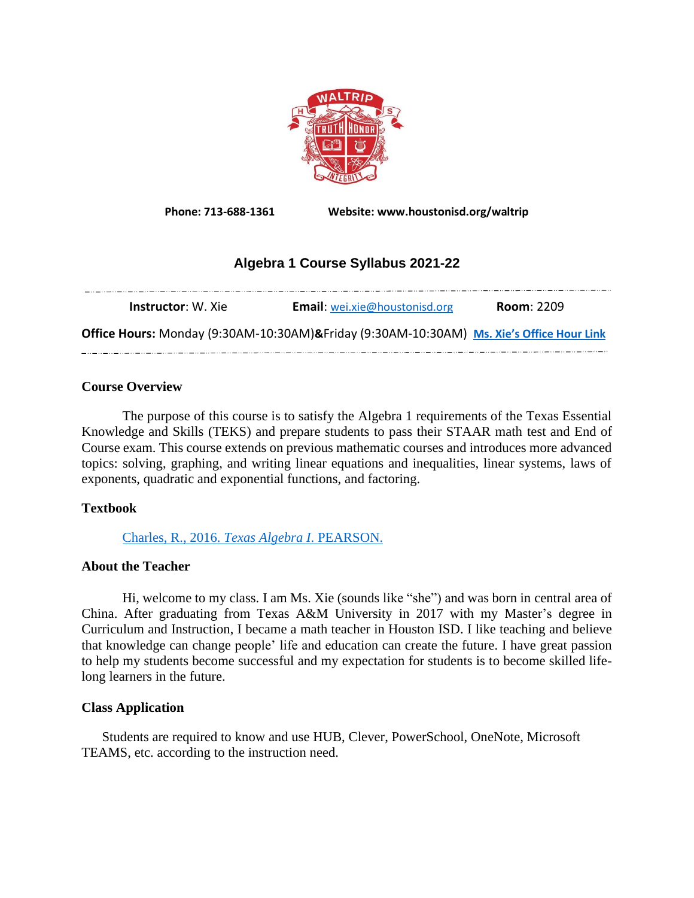

**Phone: 713-688-1361 Website: www.houstonisd.org/waltrip**

# **Algebra 1 Course Syllabus 2021-22**

| <b>Instructor</b> : W. Xie                                                               | <b>Email:</b> wei.xie@houstonisd.org | <b>Room: 2209</b> |
|------------------------------------------------------------------------------------------|--------------------------------------|-------------------|
| Office Hours: Monday (9:30AM-10:30AM)&Friday (9:30AM-10:30AM) Ms. Xie's Office Hour Link |                                      |                   |

## **Course Overview**

The purpose of this course is to satisfy the Algebra 1 requirements of the Texas Essential Knowledge and Skills (TEKS) and prepare students to pass their STAAR math test and End of Course exam. This course extends on previous mathematic courses and introduces more advanced topics: solving, graphing, and writing linear equations and inequalities, linear systems, laws of exponents, quadratic and exponential functions, and factoring.

# **Textbook**

[Charles, R., 2016.](http://pearsoneducation.scene7.com/s7viewers/html5/eCatalogViewer.html?emailurl=http://pearsoneducation.scene7.com/s7/emailFriend&serverUrl=http://pearsoneducation.scene7.com/is/image/&config=Scene7SharedAssets/Universal_HTML5_eCatalog&contenturl=http://pearsoneducation.scene7.com/skins/&config2=companypreset&asset=PearsonEducation/Homework_Helper_Algebra_1_r) *Texas Algebra I*. PEARSON.

### **About the Teacher**

Hi, welcome to my class. I am Ms. Xie (sounds like "she") and was born in central area of China. After graduating from Texas A&M University in 2017 with my Master's degree in Curriculum and Instruction, I became a math teacher in Houston ISD. I like teaching and believe that knowledge can change people' life and education can create the future. I have great passion to help my students become successful and my expectation for students is to become skilled lifelong learners in the future.

### **Class Application**

Students are required to know and use HUB, Clever, PowerSchool, OneNote, Microsoft TEAMS, etc. according to the instruction need.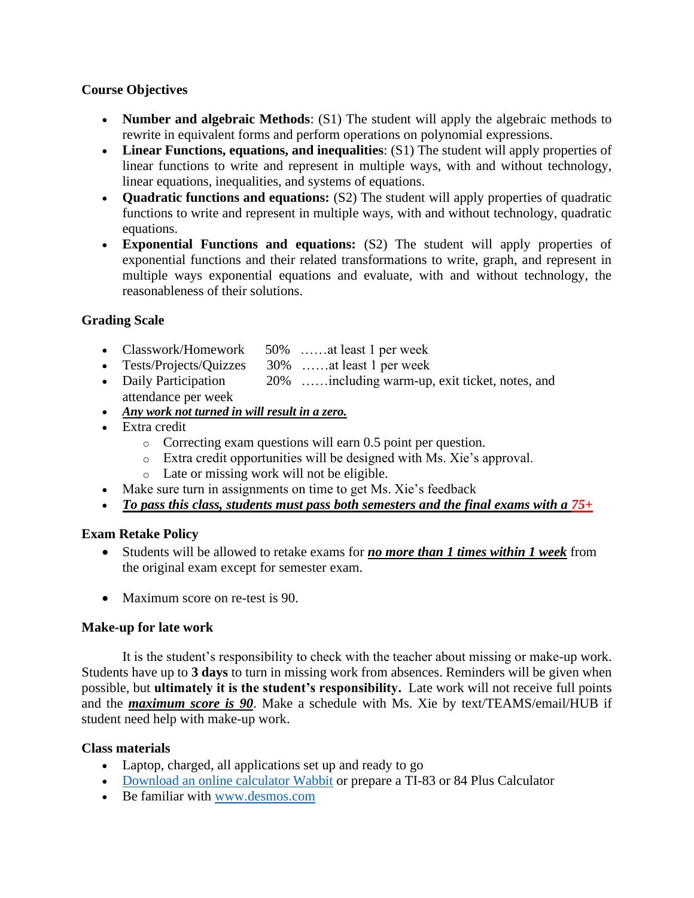# **Course Objectives**

- **Number and algebraic Methods**: (S1) The student will apply the algebraic methods to rewrite in equivalent forms and perform operations on polynomial expressions.
- **Linear Functions, equations, and inequalities**: (S1) The student will apply properties of linear functions to write and represent in multiple ways, with and without technology, linear equations, inequalities, and systems of equations.
- **Quadratic functions and equations:** (S2) The student will apply properties of quadratic functions to write and represent in multiple ways, with and without technology, quadratic equations.
- **Exponential Functions and equations:** (S2) The student will apply properties of exponential functions and their related transformations to write, graph, and represent in multiple ways exponential equations and evaluate, with and without technology, the reasonableness of their solutions.

# **Grading Scale**

- Classwork/Homework 50% ……at least 1 per week
- Tests/Projects/Quizzes 30% ……at least 1 per week
- Daily Participation 20% ……including warm-up, exit ticket, notes, and attendance per week
- *Any work not turned in will result in a zero.*
- Extra credit
	- o Correcting exam questions will earn 0.5 point per question.
	- o Extra credit opportunities will be designed with Ms. Xie's approval.
	- o Late or missing work will not be eligible.
- Make sure turn in assignments on time to get Ms. Xie's feedback
- *To pass this class, students must pass both semesters and the final exams with a 75+*

# **Exam Retake Policy**

- Students will be allowed to retake exams for *no more than 1 times within 1 week* from the original exam except for semester exam.
- Maximum score on re-test is 90.

# **Make-up for late work**

It is the student's responsibility to check with the teacher about missing or make-up work. Students have up to **3 days** to turn in missing work from absences. Reminders will be given when possible, but **ultimately it is the student's responsibility.** Late work will not receive full points and the *maximum score is 90*. Make a schedule with Ms. Xie by text/TEAMS/email/HUB if student need help with make-up work.

# **Class materials**

- Laptop, charged, all applications set up and ready to go
- [Download an online calculator](https://drive.google.com/file/d/1ToZCijaNXebwKYkBdwYUsGsvh3byFWcg/view?usp=sharing) Wabbit or prepare a TI-83 or 84 Plus Calculator
- Be familiar with [www.desmos.com](http://www.desmos.com/)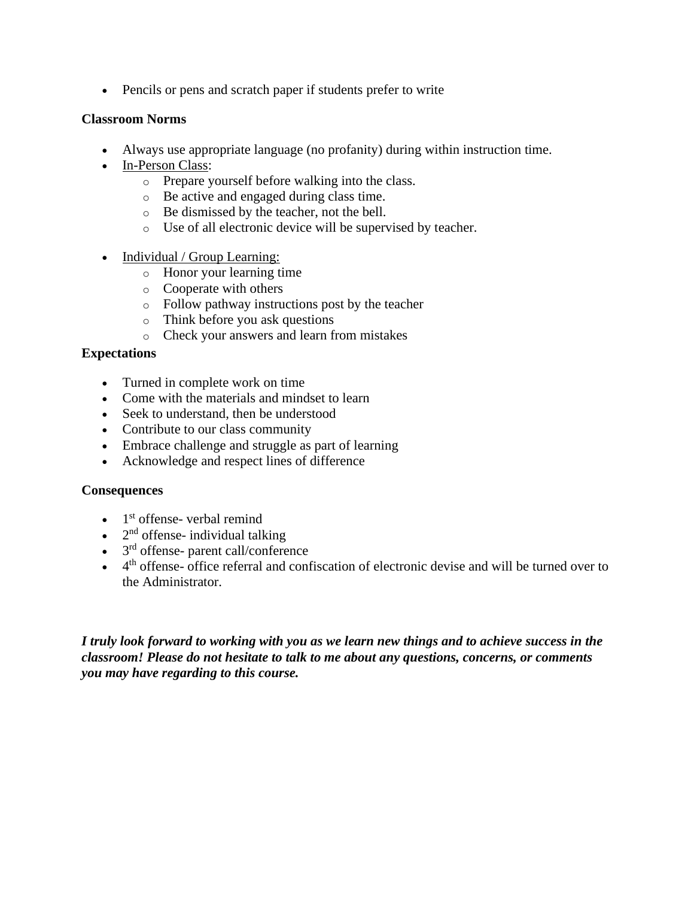• Pencils or pens and scratch paper if students prefer to write

## **Classroom Norms**

- Always use appropriate language (no profanity) during within instruction time.
- In-Person Class:
	- o Prepare yourself before walking into the class.
	- o Be active and engaged during class time.
	- o Be dismissed by the teacher, not the bell.
	- o Use of all electronic device will be supervised by teacher.
- Individual / Group Learning:
	- o Honor your learning time
	- o Cooperate with others
	- o Follow pathway instructions post by the teacher
	- o Think before you ask questions
	- o Check your answers and learn from mistakes

# **Expectations**

- Turned in complete work on time
- Come with the materials and mindset to learn
- Seek to understand, then be understood
- Contribute to our class community
- Embrace challenge and struggle as part of learning
- Acknowledge and respect lines of difference

### **Consequences**

- $\bullet$  1<sup>st</sup> offense- verbal remind
- $\bullet$  2<sup>nd</sup> offense- individual talking
- 3<sup>rd</sup> offense- parent call/conference
- $\bullet$  4<sup>th</sup> offense- office referral and confiscation of electronic devise and will be turned over to the Administrator.

*I truly look forward to working with you as we learn new things and to achieve success in the classroom! Please do not hesitate to talk to me about any questions, concerns, or comments you may have regarding to this course.*